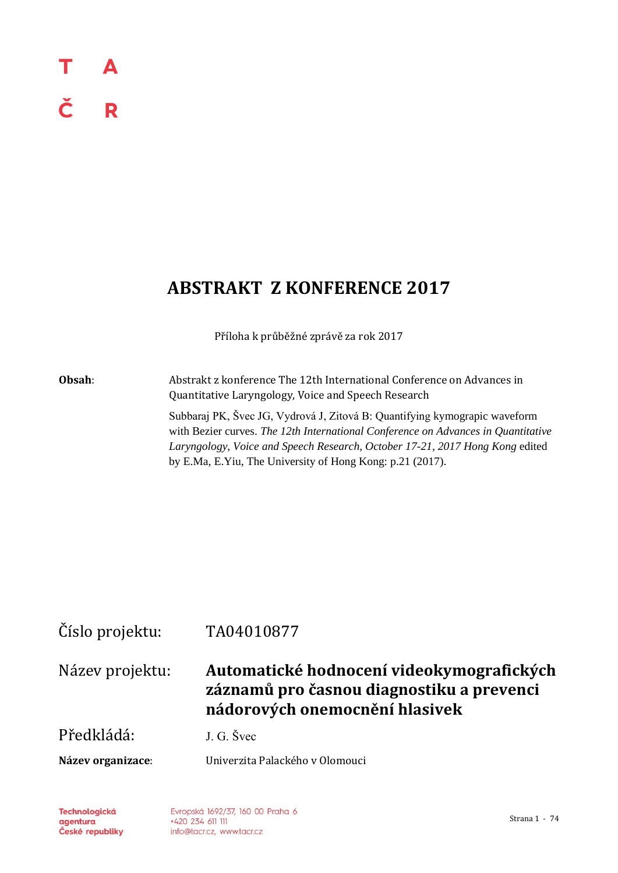### т A č R

# **ABSTRAKT Z KONFERENCE 2017**

Příloha k průběžné zprávě za rok 2017

**Obsah**: Abstrakt z konference The 12th International Conference on Advances in Quantitative Laryngology, Voice and Speech Research

> Subbaraj PK, Švec JG, Vydrová J, Zitová B: Quantifying kymograpic waveform with Bezier curves. *The 12th International Conference on Advances in Quantitative Laryngology, Voice and Speech Research, October 17-21, 2017 Hong Kong* edited by E.Ma, E.Yiu, The University of Hong Kong: p.21 (2017).

## Číslo projektu: TA04010877

Název projektu: **Automatické hodnocení videokymografických záznamů pro časnou diagnostiku a prevenci nádorových onemocnění hlasivek**

Předkládá: J. G. Švec

**Název organizace**: Univerzita Palackého v Olomouci

**Technologická** agentura České republiky

Evropská 1692/37, 160 00 Praha 6 +420 234 611 111 info@tacr.cz, www.tacr.cz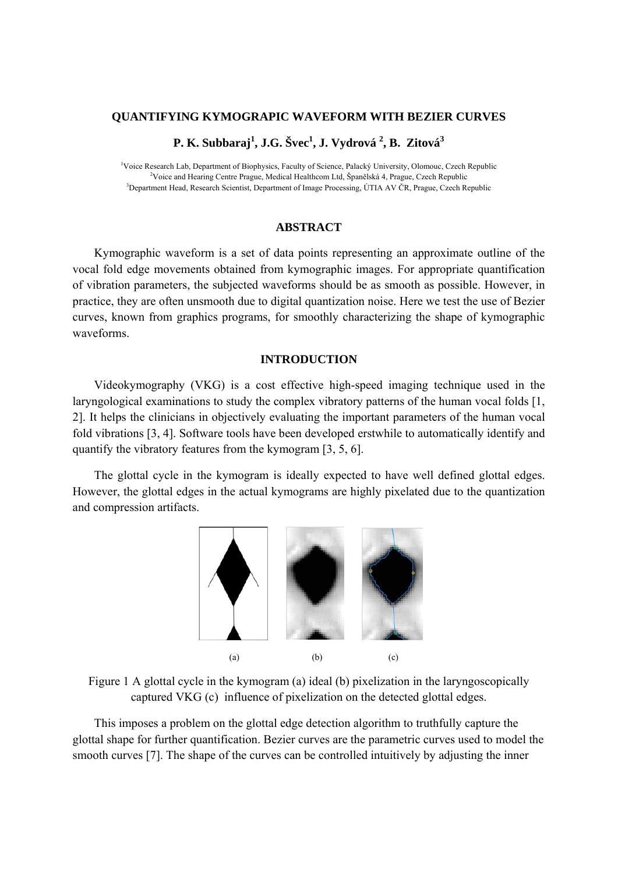#### **QUANTIFYING KYMOGRAPIC WAVEFORM WITH BEZIER CURVES**

**P. K. Subbaraj<sup>1</sup> , J.G. Švec1 , J. Vydrová 2 , B. Zitová<sup>3</sup>**

<sup>1</sup>Voice Research Lab, Department of Biophysics, Faculty of Science, Palacký University, Olomouc, Czech Republic <sup>2</sup>Voice and Hearing Contra Progue Mediael Healthcam Ltd. Španělská 4. Progue Czech Republic <sup>2</sup>Voice and Hearing Centre Prague, Medical Healthcom Ltd, Španělská 4, Prague, Czech Republic <sup>3</sup>Department Head, Research Scientist, Department of Image Processing, ÚTIA AV ČR, Prague, Czech Republic

#### **ABSTRACT**

Kymographic waveform is a set of data points representing an approximate outline of the vocal fold edge movements obtained from kymographic images. For appropriate quantification of vibration parameters, the subjected waveforms should be as smooth as possible. However, in practice, they are often unsmooth due to digital quantization noise. Here we test the use of Bezier curves, known from graphics programs, for smoothly characterizing the shape of kymographic waveforms.

#### **INTRODUCTION**

Videokymography (VKG) is a cost effective high-speed imaging technique used in the laryngological examinations to study the complex vibratory patterns of the human vocal folds [1, 2]. It helps the clinicians in objectively evaluating the important parameters of the human vocal fold vibrations [3, 4]. Software tools have been developed erstwhile to automatically identify and quantify the vibratory features from the kymogram [3, 5, 6].

The glottal cycle in the kymogram is ideally expected to have well defined glottal edges. However, the glottal edges in the actual kymograms are highly pixelated due to the quantization and compression artifacts.



Figure 1 A glottal cycle in the kymogram (a) ideal (b) pixelization in the laryngoscopically captured VKG (c) influence of pixelization on the detected glottal edges.

This imposes a problem on the glottal edge detection algorithm to truthfully capture the glottal shape for further quantification. Bezier curves are the parametric curves used to model the smooth curves [7]. The shape of the curves can be controlled intuitively by adjusting the inner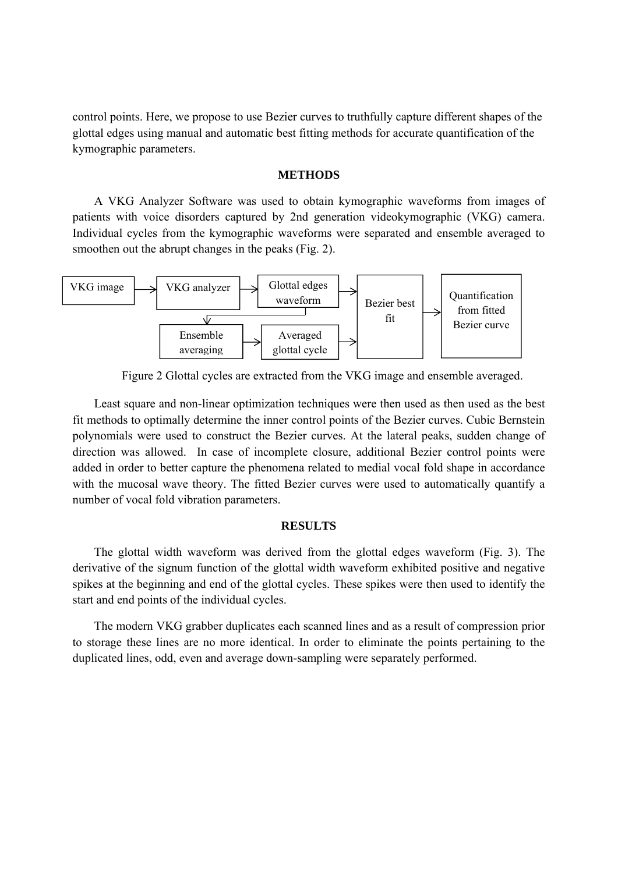control points. Here, we propose to use Bezier curves to truthfully capture different shapes of the glottal edges using manual and automatic best fitting methods for accurate quantification of the kymographic parameters.

#### **METHODS**

A VKG Analyzer Software was used to obtain kymographic waveforms from images of patients with voice disorders captured by 2nd generation videokymographic (VKG) camera. Individual cycles from the kymographic waveforms were separated and ensemble averaged to smoothen out the abrupt changes in the peaks (Fig. 2).



Figure 2 Glottal cycles are extracted from the VKG image and ensemble averaged.

Least square and non-linear optimization techniques were then used as then used as the best fit methods to optimally determine the inner control points of the Bezier curves. Cubic Bernstein polynomials were used to construct the Bezier curves. At the lateral peaks, sudden change of direction was allowed. In case of incomplete closure, additional Bezier control points were added in order to better capture the phenomena related to medial vocal fold shape in accordance with the mucosal wave theory. The fitted Bezier curves were used to automatically quantify a number of vocal fold vibration parameters.

#### **RESULTS**

The glottal width waveform was derived from the glottal edges waveform (Fig. 3). The derivative of the signum function of the glottal width waveform exhibited positive and negative spikes at the beginning and end of the glottal cycles. These spikes were then used to identify the start and end points of the individual cycles.

The modern VKG grabber duplicates each scanned lines and as a result of compression prior to storage these lines are no more identical. In order to eliminate the points pertaining to the duplicated lines, odd, even and average down-sampling were separately performed.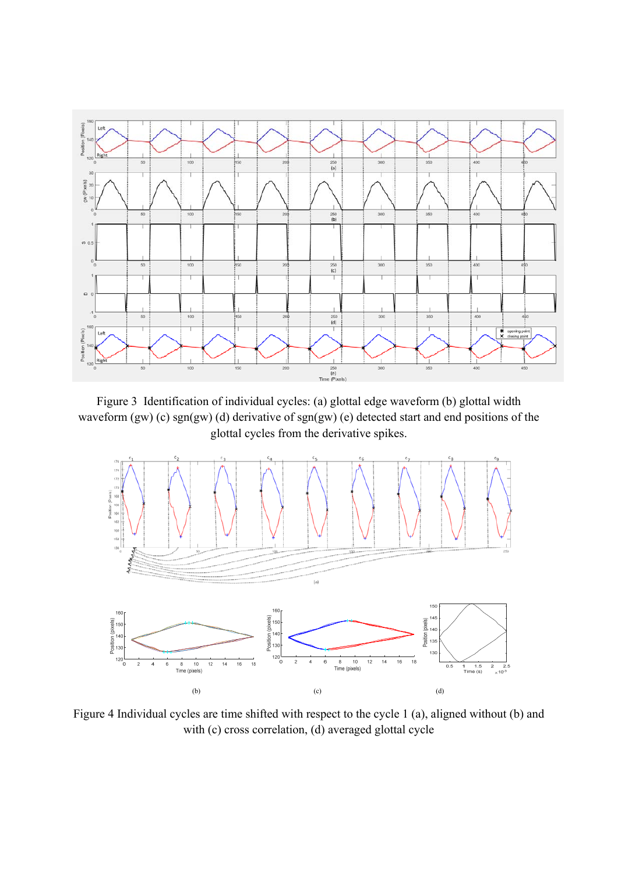

Figure 3 Identification of individual cycles: (a) glottal edge waveform (b) glottal width waveform (gw) (c) sgn(gw) (d) derivative of sgn(gw) (e) detected start and end positions of the glottal cycles from the derivative spikes.



Figure 4 Individual cycles are time shifted with respect to the cycle 1 (a), aligned without (b) and with (c) cross correlation, (d) averaged glottal cycle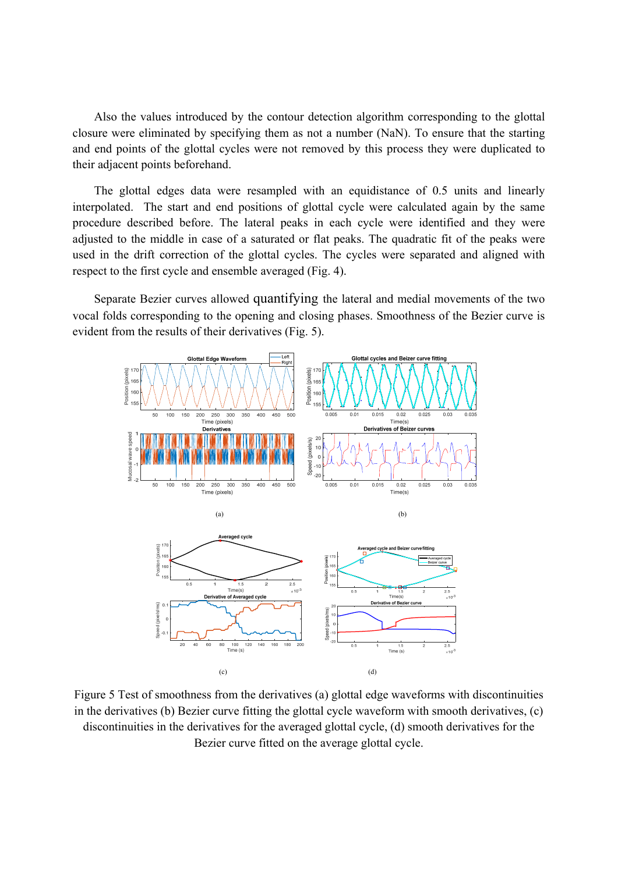Also the values introduced by the contour detection algorithm corresponding to the glottal closure were eliminated by specifying them as not a number (NaN). To ensure that the starting and end points of the glottal cycles were not removed by this process they were duplicated to their adjacent points beforehand.

The glottal edges data were resampled with an equidistance of 0.5 units and linearly interpolated. The start and end positions of glottal cycle were calculated again by the same procedure described before. The lateral peaks in each cycle were identified and they were adjusted to the middle in case of a saturated or flat peaks. The quadratic fit of the peaks were used in the drift correction of the glottal cycles. The cycles were separated and aligned with respect to the first cycle and ensemble averaged (Fig. 4).

Separate Bezier curves allowed quantifying the lateral and medial movements of the two vocal folds corresponding to the opening and closing phases. Smoothness of the Bezier curve is evident from the results of their derivatives (Fig. 5).



Figure 5 Test of smoothness from the derivatives (a) glottal edge waveforms with discontinuities in the derivatives (b) Bezier curve fitting the glottal cycle waveform with smooth derivatives, (c) discontinuities in the derivatives for the averaged glottal cycle, (d) smooth derivatives for the Bezier curve fitted on the average glottal cycle.